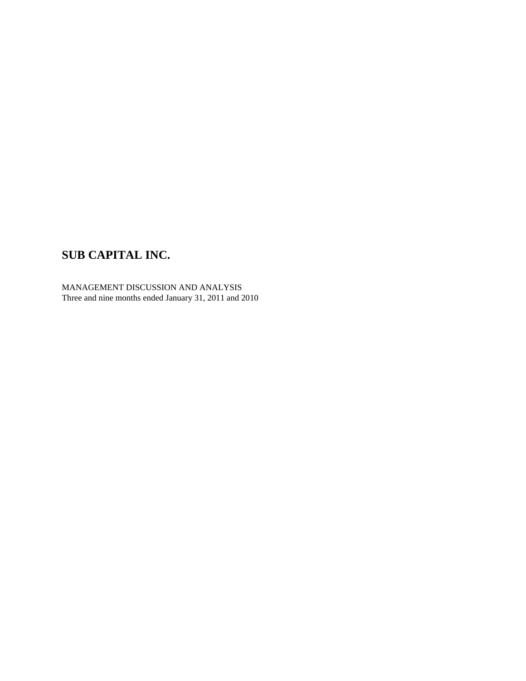MANAGEMENT DISCUSSION AND ANALYSIS Three and nine months ended January 31, 2011 and 2010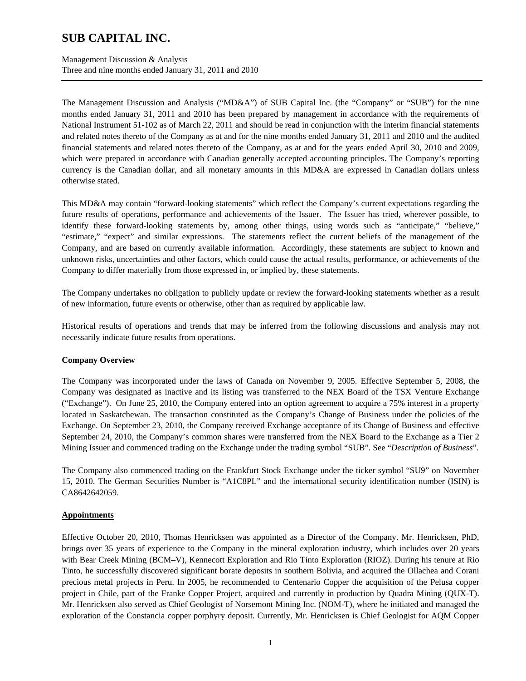Management Discussion & Analysis Three and nine months ended January 31, 2011 and 2010

The Management Discussion and Analysis ("MD&A") of SUB Capital Inc. (the "Company" or "SUB") for the nine months ended January 31, 2011 and 2010 has been prepared by management in accordance with the requirements of National Instrument 51-102 as of March 22, 2011 and should be read in conjunction with the interim financial statements and related notes thereto of the Company as at and for the nine months ended January 31, 2011 and 2010 and the audited financial statements and related notes thereto of the Company, as at and for the years ended April 30, 2010 and 2009, which were prepared in accordance with Canadian generally accepted accounting principles. The Company's reporting currency is the Canadian dollar, and all monetary amounts in this MD&A are expressed in Canadian dollars unless otherwise stated.

This MD&A may contain "forward-looking statements" which reflect the Company's current expectations regarding the future results of operations, performance and achievements of the Issuer. The Issuer has tried, wherever possible, to identify these forward-looking statements by, among other things, using words such as "anticipate," "believe," "estimate," "expect" and similar expressions. The statements reflect the current beliefs of the management of the Company, and are based on currently available information. Accordingly, these statements are subject to known and unknown risks, uncertainties and other factors, which could cause the actual results, performance, or achievements of the Company to differ materially from those expressed in, or implied by, these statements.

The Company undertakes no obligation to publicly update or review the forward-looking statements whether as a result of new information, future events or otherwise, other than as required by applicable law.

Historical results of operations and trends that may be inferred from the following discussions and analysis may not necessarily indicate future results from operations.

### **Company Overview**

The Company was incorporated under the laws of Canada on November 9, 2005. Effective September 5, 2008, the Company was designated as inactive and its listing was transferred to the NEX Board of the TSX Venture Exchange ("Exchange"). On June 25, 2010, the Company entered into an option agreement to acquire a 75% interest in a property located in Saskatchewan. The transaction constituted as the Company's Change of Business under the policies of the Exchange. On September 23, 2010, the Company received Exchange acceptance of its Change of Business and effective September 24, 2010, the Company's common shares were transferred from the NEX Board to the Exchange as a Tier 2 Mining Issuer and commenced trading on the Exchange under the trading symbol "SUB". See "*Description of Business*".

The Company also commenced trading on the Frankfurt Stock Exchange under the ticker symbol "SU9" on November 15, 2010. The German Securities Number is "A1C8PL" and the international security identification number (ISIN) is CA8642642059.

### **Appointments**

Effective October 20, 2010, Thomas Henricksen was appointed as a Director of the Company. Mr. Henricksen, PhD, brings over 35 years of experience to the Company in the mineral exploration industry, which includes over 20 years with Bear Creek Mining (BCM–V), Kennecott Exploration and Rio Tinto Exploration (RIOZ). During his tenure at Rio Tinto, he successfully discovered significant borate deposits in southern Bolivia, and acquired the Ollachea and Corani precious metal projects in Peru. In 2005, he recommended to Centenario Copper the acquisition of the Pelusa copper project in Chile, part of the Franke Copper Project, acquired and currently in production by Quadra Mining (QUX-T). Mr. Henricksen also served as Chief Geologist of Norsemont Mining Inc. (NOM-T), where he initiated and managed the exploration of the Constancia copper porphyry deposit. Currently, Mr. Henricksen is Chief Geologist for AQM Copper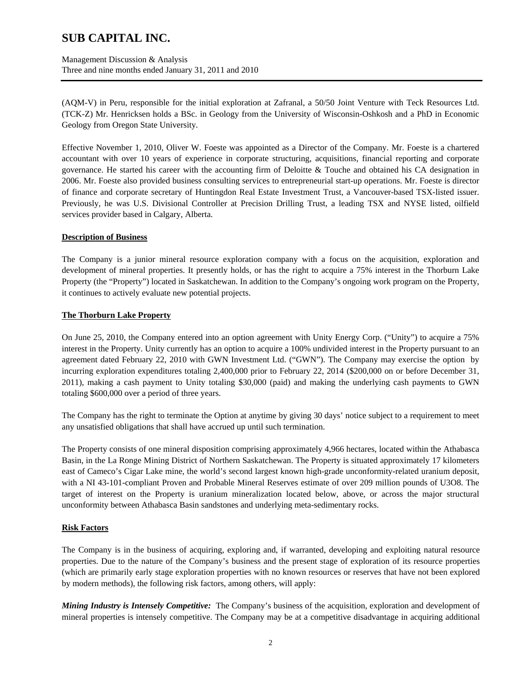Management Discussion & Analysis Three and nine months ended January 31, 2011 and 2010

(AQM-V) in Peru, responsible for the initial exploration at Zafranal, a 50/50 Joint Venture with Teck Resources Ltd. (TCK-Z) Mr. Henricksen holds a BSc. in Geology from the University of Wisconsin-Oshkosh and a PhD in Economic Geology from Oregon State University.

Effective November 1, 2010, Oliver W. Foeste was appointed as a Director of the Company. Mr. Foeste is a chartered accountant with over 10 years of experience in corporate structuring, acquisitions, financial reporting and corporate governance. He started his career with the accounting firm of Deloitte & Touche and obtained his CA designation in 2006. Mr. Foeste also provided business consulting services to entrepreneurial start-up operations. Mr. Foeste is director of finance and corporate secretary of Huntingdon Real Estate Investment Trust, a Vancouver-based TSX-listed issuer. Previously, he was U.S. Divisional Controller at Precision Drilling Trust, a leading TSX and NYSE listed, oilfield services provider based in Calgary, Alberta.

### **Description of Business**

The Company is a junior mineral resource exploration company with a focus on the acquisition, exploration and development of mineral properties. It presently holds, or has the right to acquire a 75% interest in the Thorburn Lake Property (the "Property") located in Saskatchewan. In addition to the Company's ongoing work program on the Property, it continues to actively evaluate new potential projects.

#### **The Thorburn Lake Property**

On June 25, 2010, the Company entered into an option agreement with Unity Energy Corp. ("Unity") to acquire a 75% interest in the Property. Unity currently has an option to acquire a 100% undivided interest in the Property pursuant to an agreement dated February 22, 2010 with GWN Investment Ltd. ("GWN"). The Company may exercise the option by incurring exploration expenditures totaling 2,400,000 prior to February 22, 2014 (\$200,000 on or before December 31, 2011), making a cash payment to Unity totaling \$30,000 (paid) and making the underlying cash payments to GWN totaling \$600,000 over a period of three years.

The Company has the right to terminate the Option at anytime by giving 30 days' notice subject to a requirement to meet any unsatisfied obligations that shall have accrued up until such termination.

The Property consists of one mineral disposition comprising approximately 4,966 hectares, located within the Athabasca Basin, in the La Ronge Mining District of Northern Saskatchewan. The Property is situated approximately 17 kilometers east of Cameco's Cigar Lake mine, the world's second largest known high-grade unconformity-related uranium deposit, with a NI 43-101-compliant Proven and Probable Mineral Reserves estimate of over 209 million pounds of U3O8. The target of interest on the Property is uranium mineralization located below, above, or across the major structural unconformity between Athabasca Basin sandstones and underlying meta-sedimentary rocks.

### **Risk Factors**

The Company is in the business of acquiring, exploring and, if warranted, developing and exploiting natural resource properties. Due to the nature of the Company's business and the present stage of exploration of its resource properties (which are primarily early stage exploration properties with no known resources or reserves that have not been explored by modern methods), the following risk factors, among others, will apply:

*Mining Industry is Intensely Competitive:* The Company's business of the acquisition, exploration and development of mineral properties is intensely competitive. The Company may be at a competitive disadvantage in acquiring additional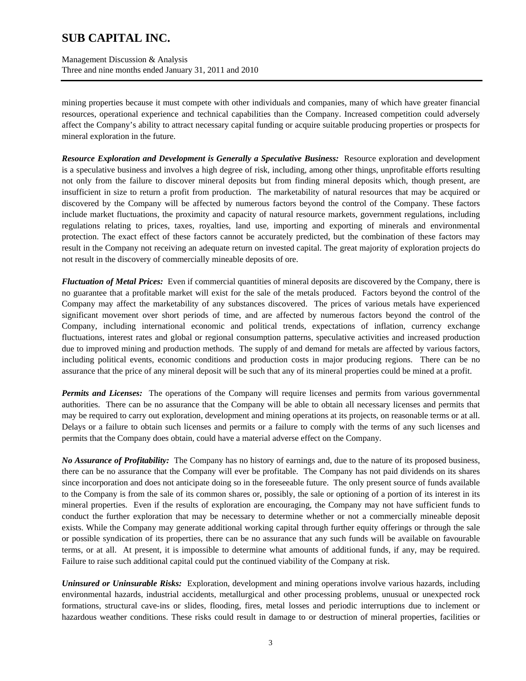Management Discussion & Analysis Three and nine months ended January 31, 2011 and 2010

mining properties because it must compete with other individuals and companies, many of which have greater financial resources, operational experience and technical capabilities than the Company. Increased competition could adversely affect the Company's ability to attract necessary capital funding or acquire suitable producing properties or prospects for mineral exploration in the future.

*Resource Exploration and Development is Generally a Speculative Business:* Resource exploration and development is a speculative business and involves a high degree of risk, including, among other things, unprofitable efforts resulting not only from the failure to discover mineral deposits but from finding mineral deposits which, though present, are insufficient in size to return a profit from production. The marketability of natural resources that may be acquired or discovered by the Company will be affected by numerous factors beyond the control of the Company. These factors include market fluctuations, the proximity and capacity of natural resource markets, government regulations, including regulations relating to prices, taxes, royalties, land use, importing and exporting of minerals and environmental protection. The exact effect of these factors cannot be accurately predicted, but the combination of these factors may result in the Company not receiving an adequate return on invested capital. The great majority of exploration projects do not result in the discovery of commercially mineable deposits of ore.

*Fluctuation of Metal Prices:* Even if commercial quantities of mineral deposits are discovered by the Company, there is no guarantee that a profitable market will exist for the sale of the metals produced. Factors beyond the control of the Company may affect the marketability of any substances discovered. The prices of various metals have experienced significant movement over short periods of time, and are affected by numerous factors beyond the control of the Company, including international economic and political trends, expectations of inflation, currency exchange fluctuations, interest rates and global or regional consumption patterns, speculative activities and increased production due to improved mining and production methods. The supply of and demand for metals are affected by various factors, including political events, economic conditions and production costs in major producing regions. There can be no assurance that the price of any mineral deposit will be such that any of its mineral properties could be mined at a profit.

*Permits and Licenses:* The operations of the Company will require licenses and permits from various governmental authorities. There can be no assurance that the Company will be able to obtain all necessary licenses and permits that may be required to carry out exploration, development and mining operations at its projects, on reasonable terms or at all. Delays or a failure to obtain such licenses and permits or a failure to comply with the terms of any such licenses and permits that the Company does obtain, could have a material adverse effect on the Company.

*No Assurance of Profitability:* The Company has no history of earnings and, due to the nature of its proposed business, there can be no assurance that the Company will ever be profitable. The Company has not paid dividends on its shares since incorporation and does not anticipate doing so in the foreseeable future. The only present source of funds available to the Company is from the sale of its common shares or, possibly, the sale or optioning of a portion of its interest in its mineral properties. Even if the results of exploration are encouraging, the Company may not have sufficient funds to conduct the further exploration that may be necessary to determine whether or not a commercially mineable deposit exists. While the Company may generate additional working capital through further equity offerings or through the sale or possible syndication of its properties, there can be no assurance that any such funds will be available on favourable terms, or at all. At present, it is impossible to determine what amounts of additional funds, if any, may be required. Failure to raise such additional capital could put the continued viability of the Company at risk.

*Uninsured or Uninsurable Risks:* Exploration, development and mining operations involve various hazards, including environmental hazards, industrial accidents, metallurgical and other processing problems, unusual or unexpected rock formations, structural cave-ins or slides, flooding, fires, metal losses and periodic interruptions due to inclement or hazardous weather conditions. These risks could result in damage to or destruction of mineral properties, facilities or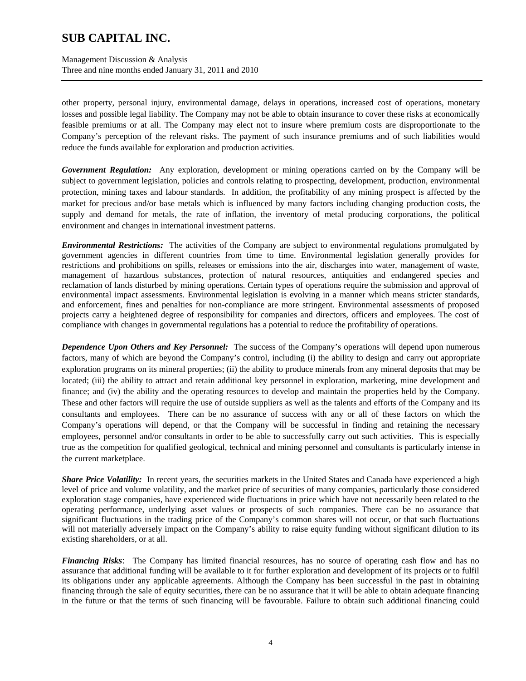Management Discussion & Analysis Three and nine months ended January 31, 2011 and 2010

other property, personal injury, environmental damage, delays in operations, increased cost of operations, monetary losses and possible legal liability. The Company may not be able to obtain insurance to cover these risks at economically feasible premiums or at all. The Company may elect not to insure where premium costs are disproportionate to the Company's perception of the relevant risks. The payment of such insurance premiums and of such liabilities would reduce the funds available for exploration and production activities.

*Government Regulation:* Any exploration, development or mining operations carried on by the Company will be subject to government legislation, policies and controls relating to prospecting, development, production, environmental protection, mining taxes and labour standards. In addition, the profitability of any mining prospect is affected by the market for precious and/or base metals which is influenced by many factors including changing production costs, the supply and demand for metals, the rate of inflation, the inventory of metal producing corporations, the political environment and changes in international investment patterns.

*Environmental Restrictions:* The activities of the Company are subject to environmental regulations promulgated by government agencies in different countries from time to time. Environmental legislation generally provides for restrictions and prohibitions on spills, releases or emissions into the air, discharges into water, management of waste, management of hazardous substances, protection of natural resources, antiquities and endangered species and reclamation of lands disturbed by mining operations. Certain types of operations require the submission and approval of environmental impact assessments. Environmental legislation is evolving in a manner which means stricter standards, and enforcement, fines and penalties for non-compliance are more stringent. Environmental assessments of proposed projects carry a heightened degree of responsibility for companies and directors, officers and employees. The cost of compliance with changes in governmental regulations has a potential to reduce the profitability of operations.

*Dependence Upon Others and Key Personnel:* The success of the Company's operations will depend upon numerous factors, many of which are beyond the Company's control, including (i) the ability to design and carry out appropriate exploration programs on its mineral properties; (ii) the ability to produce minerals from any mineral deposits that may be located; (iii) the ability to attract and retain additional key personnel in exploration, marketing, mine development and finance; and (iv) the ability and the operating resources to develop and maintain the properties held by the Company. These and other factors will require the use of outside suppliers as well as the talents and efforts of the Company and its consultants and employees. There can be no assurance of success with any or all of these factors on which the Company's operations will depend, or that the Company will be successful in finding and retaining the necessary employees, personnel and/or consultants in order to be able to successfully carry out such activities. This is especially true as the competition for qualified geological, technical and mining personnel and consultants is particularly intense in the current marketplace.

*Share Price Volatility:* In recent years, the securities markets in the United States and Canada have experienced a high level of price and volume volatility, and the market price of securities of many companies, particularly those considered exploration stage companies, have experienced wide fluctuations in price which have not necessarily been related to the operating performance, underlying asset values or prospects of such companies. There can be no assurance that significant fluctuations in the trading price of the Company's common shares will not occur, or that such fluctuations will not materially adversely impact on the Company's ability to raise equity funding without significant dilution to its existing shareholders, or at all.

*Financing Risks*: The Company has limited financial resources, has no source of operating cash flow and has no assurance that additional funding will be available to it for further exploration and development of its projects or to fulfil its obligations under any applicable agreements. Although the Company has been successful in the past in obtaining financing through the sale of equity securities, there can be no assurance that it will be able to obtain adequate financing in the future or that the terms of such financing will be favourable. Failure to obtain such additional financing could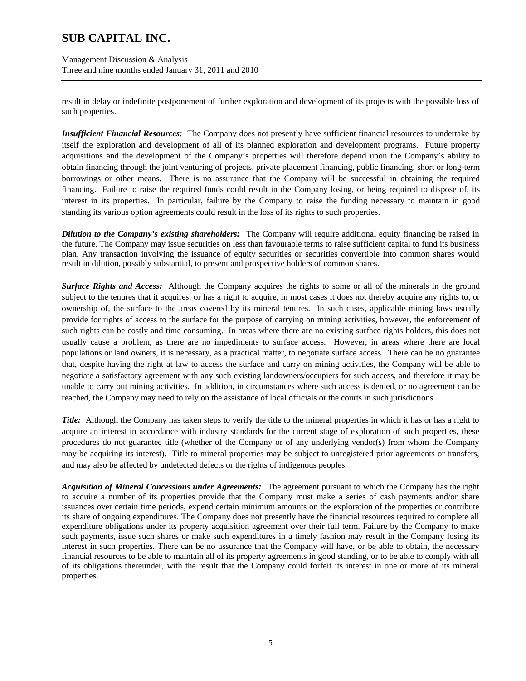Management Discussion & Analysis Three and nine months ended January 31, 2011 and 2010

result in delay or indefinite postponement of further exploration and development of its projects with the possible loss of such properties.

*Insufficient Financial Resources:* The Company does not presently have sufficient financial resources to undertake by itself the exploration and development of all of its planned exploration and development programs. Future property acquisitions and the development of the Company's properties will therefore depend upon the Company's ability to obtain financing through the joint venturing of projects, private placement financing, public financing, short or long-term borrowings or other means. There is no assurance that the Company will be successful in obtaining the required financing. Failure to raise the required funds could result in the Company losing, or being required to dispose of, its interest in its properties. In particular, failure by the Company to raise the funding necessary to maintain in good standing its various option agreements could result in the loss of its rights to such properties.

*Dilution to the Company's existing shareholders:* The Company will require additional equity financing be raised in the future. The Company may issue securities on less than favourable terms to raise sufficient capital to fund its business plan. Any transaction involving the issuance of equity securities or securities convertible into common shares would result in dilution, possibly substantial, to present and prospective holders of common shares.

*Surface Rights and Access:* Although the Company acquires the rights to some or all of the minerals in the ground subject to the tenures that it acquires, or has a right to acquire, in most cases it does not thereby acquire any rights to, or ownership of, the surface to the areas covered by its mineral tenures. In such cases, applicable mining laws usually provide for rights of access to the surface for the purpose of carrying on mining activities, however, the enforcement of such rights can be costly and time consuming. In areas where there are no existing surface rights holders, this does not usually cause a problem, as there are no impediments to surface access. However, in areas where there are local populations or land owners, it is necessary, as a practical matter, to negotiate surface access. There can be no guarantee that, despite having the right at law to access the surface and carry on mining activities, the Company will be able to negotiate a satisfactory agreement with any such existing landowners/occupiers for such access, and therefore it may be unable to carry out mining activities. In addition, in circumstances where such access is denied, or no agreement can be reached, the Company may need to rely on the assistance of local officials or the courts in such jurisdictions.

*Title:* Although the Company has taken steps to verify the title to the mineral properties in which it has or has a right to acquire an interest in accordance with industry standards for the current stage of exploration of such properties, these procedures do not guarantee title (whether of the Company or of any underlying vendor(s) from whom the Company may be acquiring its interest). Title to mineral properties may be subject to unregistered prior agreements or transfers, and may also be affected by undetected defects or the rights of indigenous peoples.

*Acquisition of Mineral Concessions under Agreements:* The agreement pursuant to which the Company has the right to acquire a number of its properties provide that the Company must make a series of cash payments and/or share issuances over certain time periods, expend certain minimum amounts on the exploration of the properties or contribute its share of ongoing expenditures. The Company does not presently have the financial resources required to complete all expenditure obligations under its property acquisition agreement over their full term. Failure by the Company to make such payments, issue such shares or make such expenditures in a timely fashion may result in the Company losing its interest in such properties. There can be no assurance that the Company will have, or be able to obtain, the necessary financial resources to be able to maintain all of its property agreements in good standing, or to be able to comply with all of its obligations thereunder, with the result that the Company could forfeit its interest in one or more of its mineral properties.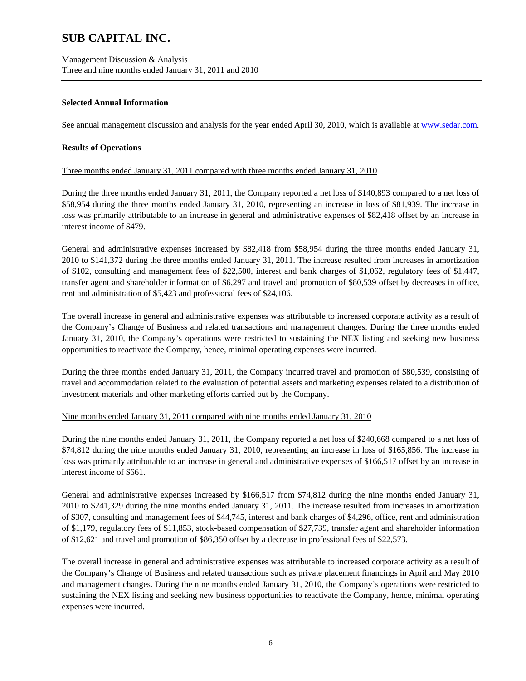### **Selected Annual Information**

See annual management discussion and analysis for the year ended April 30, 2010, which is available at www.sedar.com.

### **Results of Operations**

### Three months ended January 31, 2011 compared with three months ended January 31, 2010

During the three months ended January 31, 2011, the Company reported a net loss of \$140,893 compared to a net loss of \$58,954 during the three months ended January 31, 2010, representing an increase in loss of \$81,939. The increase in loss was primarily attributable to an increase in general and administrative expenses of \$82,418 offset by an increase in interest income of \$479.

General and administrative expenses increased by \$82,418 from \$58,954 during the three months ended January 31, 2010 to \$141,372 during the three months ended January 31, 2011. The increase resulted from increases in amortization of \$102, consulting and management fees of \$22,500, interest and bank charges of \$1,062, regulatory fees of \$1,447, transfer agent and shareholder information of \$6,297 and travel and promotion of \$80,539 offset by decreases in office, rent and administration of \$5,423 and professional fees of \$24,106.

The overall increase in general and administrative expenses was attributable to increased corporate activity as a result of the Company's Change of Business and related transactions and management changes. During the three months ended January 31, 2010, the Company's operations were restricted to sustaining the NEX listing and seeking new business opportunities to reactivate the Company, hence, minimal operating expenses were incurred.

During the three months ended January 31, 2011, the Company incurred travel and promotion of \$80,539, consisting of travel and accommodation related to the evaluation of potential assets and marketing expenses related to a distribution of investment materials and other marketing efforts carried out by the Company.

### Nine months ended January 31, 2011 compared with nine months ended January 31, 2010

During the nine months ended January 31, 2011, the Company reported a net loss of \$240,668 compared to a net loss of \$74,812 during the nine months ended January 31, 2010, representing an increase in loss of \$165,856. The increase in loss was primarily attributable to an increase in general and administrative expenses of \$166,517 offset by an increase in interest income of \$661.

General and administrative expenses increased by \$166,517 from \$74,812 during the nine months ended January 31, 2010 to \$241,329 during the nine months ended January 31, 2011. The increase resulted from increases in amortization of \$307, consulting and management fees of \$44,745, interest and bank charges of \$4,296, office, rent and administration of \$1,179, regulatory fees of \$11,853, stock-based compensation of \$27,739, transfer agent and shareholder information of \$12,621 and travel and promotion of \$86,350 offset by a decrease in professional fees of \$22,573.

The overall increase in general and administrative expenses was attributable to increased corporate activity as a result of the Company's Change of Business and related transactions such as private placement financings in April and May 2010 and management changes. During the nine months ended January 31, 2010, the Company's operations were restricted to sustaining the NEX listing and seeking new business opportunities to reactivate the Company, hence, minimal operating expenses were incurred.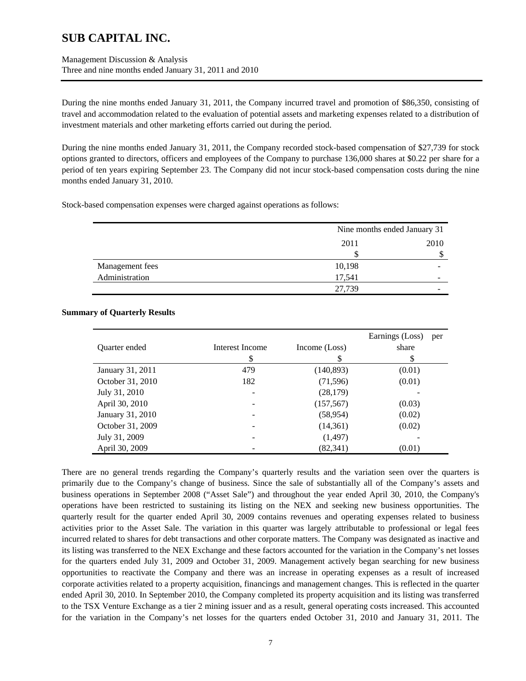Management Discussion & Analysis Three and nine months ended January 31, 2011 and 2010

During the nine months ended January 31, 2011, the Company incurred travel and promotion of \$86,350, consisting of travel and accommodation related to the evaluation of potential assets and marketing expenses related to a distribution of investment materials and other marketing efforts carried out during the period.

During the nine months ended January 31, 2011, the Company recorded stock-based compensation of \$27,739 for stock options granted to directors, officers and employees of the Company to purchase 136,000 shares at \$0.22 per share for a period of ten years expiring September 23. The Company did not incur stock-based compensation costs during the nine months ended January 31, 2010.

Stock-based compensation expenses were charged against operations as follows:

|                 |        | Nine months ended January 31 |  |
|-----------------|--------|------------------------------|--|
|                 | 2011   | 2010                         |  |
|                 | S      | S                            |  |
| Management fees | 10,198 |                              |  |
| Administration  | 17,541 |                              |  |
|                 | 27.739 |                              |  |

### **Summary of Quarterly Results**

|                  |                 |               | Earnings (Loss) | per |
|------------------|-----------------|---------------|-----------------|-----|
| Quarter ended    | Interest Income | Income (Loss) | share           |     |
|                  | \$              | S             | S               |     |
| January 31, 2011 | 479             | (140, 893)    | (0.01)          |     |
| October 31, 2010 | 182             | (71, 596)     | (0.01)          |     |
| July 31, 2010    |                 | (28, 179)     |                 |     |
| April 30, 2010   |                 | (157, 567)    | (0.03)          |     |
| January 31, 2010 |                 | (58, 954)     | (0.02)          |     |
| October 31, 2009 |                 | (14,361)      | (0.02)          |     |
| July 31, 2009    |                 | (1, 497)      |                 |     |
| April 30, 2009   |                 | (82, 341)     | (0.01)          |     |

There are no general trends regarding the Company's quarterly results and the variation seen over the quarters is primarily due to the Company's change of business. Since the sale of substantially all of the Company's assets and business operations in September 2008 ("Asset Sale") and throughout the year ended April 30, 2010, the Company's operations have been restricted to sustaining its listing on the NEX and seeking new business opportunities. The quarterly result for the quarter ended April 30, 2009 contains revenues and operating expenses related to business activities prior to the Asset Sale. The variation in this quarter was largely attributable to professional or legal fees incurred related to shares for debt transactions and other corporate matters. The Company was designated as inactive and its listing was transferred to the NEX Exchange and these factors accounted for the variation in the Company's net losses for the quarters ended July 31, 2009 and October 31, 2009. Management actively began searching for new business opportunities to reactivate the Company and there was an increase in operating expenses as a result of increased corporate activities related to a property acquisition, financings and management changes. This is reflected in the quarter ended April 30, 2010. In September 2010, the Company completed its property acquisition and its listing was transferred to the TSX Venture Exchange as a tier 2 mining issuer and as a result, general operating costs increased. This accounted for the variation in the Company's net losses for the quarters ended October 31, 2010 and January 31, 2011. The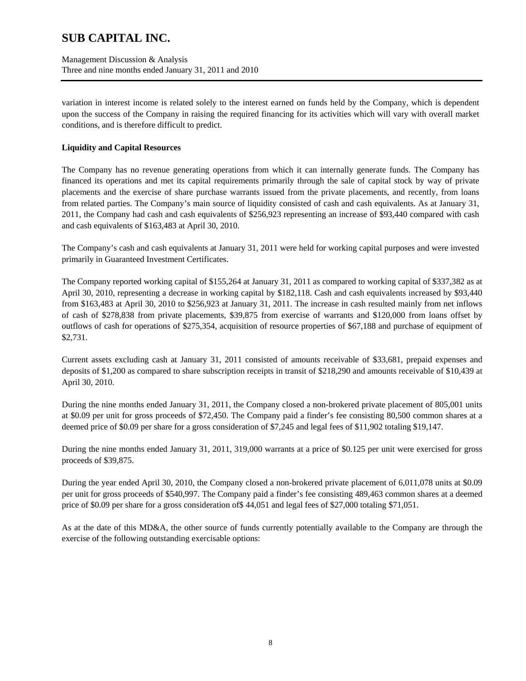Management Discussion & Analysis Three and nine months ended January 31, 2011 and 2010

variation in interest income is related solely to the interest earned on funds held by the Company, which is dependent upon the success of the Company in raising the required financing for its activities which will vary with overall market conditions, and is therefore difficult to predict.

## **Liquidity and Capital Resources**

The Company has no revenue generating operations from which it can internally generate funds. The Company has financed its operations and met its capital requirements primarily through the sale of capital stock by way of private placements and the exercise of share purchase warrants issued from the private placements, and recently, from loans from related parties. The Company's main source of liquidity consisted of cash and cash equivalents. As at January 31, 2011, the Company had cash and cash equivalents of \$256,923 representing an increase of \$93,440 compared with cash and cash equivalents of \$163,483 at April 30, 2010.

The Company's cash and cash equivalents at January 31, 2011 were held for working capital purposes and were invested primarily in Guaranteed Investment Certificates.

The Company reported working capital of \$155,264 at January 31, 2011 as compared to working capital of \$337,382 as at April 30, 2010, representing a decrease in working capital by \$182,118. Cash and cash equivalents increased by \$93,440 from \$163,483 at April 30, 2010 to \$256,923 at January 31, 2011. The increase in cash resulted mainly from net inflows of cash of \$278,838 from private placements, \$39,875 from exercise of warrants and \$120,000 from loans offset by outflows of cash for operations of \$275,354, acquisition of resource properties of \$67,188 and purchase of equipment of \$2,731.

Current assets excluding cash at January 31, 2011 consisted of amounts receivable of \$33,681, prepaid expenses and deposits of \$1,200 as compared to share subscription receipts in transit of \$218,290 and amounts receivable of \$10,439 at April 30, 2010.

During the nine months ended January 31, 2011, the Company closed a non-brokered private placement of 805,001 units at \$0.09 per unit for gross proceeds of \$72,450. The Company paid a finder's fee consisting 80,500 common shares at a deemed price of \$0.09 per share for a gross consideration of \$7,245 and legal fees of \$11,902 totaling \$19,147.

During the nine months ended January 31, 2011, 319,000 warrants at a price of \$0.125 per unit were exercised for gross proceeds of \$39,875.

During the year ended April 30, 2010, the Company closed a non-brokered private placement of 6,011,078 units at \$0.09 per unit for gross proceeds of \$540,997. The Company paid a finder's fee consisting 489,463 common shares at a deemed price of \$0.09 per share for a gross consideration of\$ 44,051 and legal fees of \$27,000 totaling \$71,051.

As at the date of this MD&A, the other source of funds currently potentially available to the Company are through the exercise of the following outstanding exercisable options: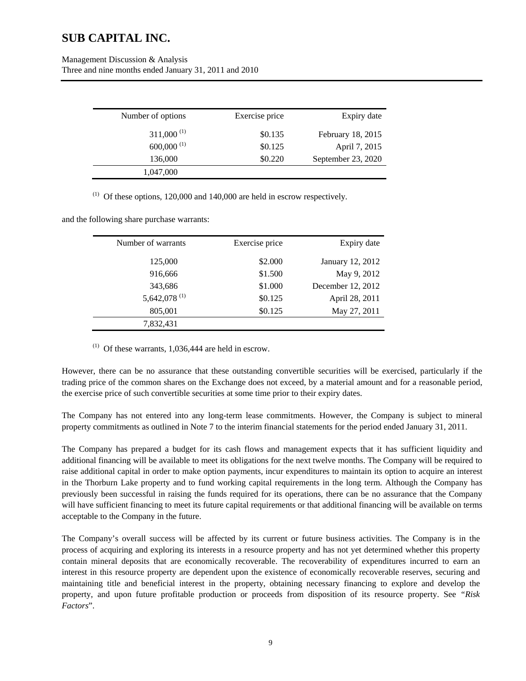| Management Discussion & Analysis                      |
|-------------------------------------------------------|
| Three and nine months ended January 31, 2011 and 2010 |

| Number of options        | Exercise price | Expiry date        |
|--------------------------|----------------|--------------------|
| $311,000^{(1)}$          | \$0.135        | February 18, 2015  |
| $600,000$ <sup>(1)</sup> | \$0.125        | April 7, 2015      |
| 136,000                  | \$0.220        | September 23, 2020 |
| 1,047,000                |                |                    |

 $(1)$  Of these options, 120,000 and 140,000 are held in escrow respectively.

and the following share purchase warrants:

| Number of warrants       | Exercise price | Expiry date       |
|--------------------------|----------------|-------------------|
| 125,000                  | \$2.000        | January 12, 2012  |
| 916,666                  | \$1.500        | May 9, 2012       |
| 343,686                  | \$1.000        | December 12, 2012 |
| 5,642,078 <sup>(1)</sup> | \$0.125        | April 28, 2011    |
| 805,001                  | \$0.125        | May 27, 2011      |
| 7,832,431                |                |                   |

 $(1)$  Of these warrants, 1,036,444 are held in escrow.

However, there can be no assurance that these outstanding convertible securities will be exercised, particularly if the trading price of the common shares on the Exchange does not exceed, by a material amount and for a reasonable period, the exercise price of such convertible securities at some time prior to their expiry dates.

The Company has not entered into any long-term lease commitments. However, the Company is subject to mineral property commitments as outlined in Note 7 to the interim financial statements for the period ended January 31, 2011.

The Company has prepared a budget for its cash flows and management expects that it has sufficient liquidity and additional financing will be available to meet its obligations for the next twelve months. The Company will be required to raise additional capital in order to make option payments, incur expenditures to maintain its option to acquire an interest in the Thorburn Lake property and to fund working capital requirements in the long term. Although the Company has previously been successful in raising the funds required for its operations, there can be no assurance that the Company will have sufficient financing to meet its future capital requirements or that additional financing will be available on terms acceptable to the Company in the future.

The Company's overall success will be affected by its current or future business activities. The Company is in the process of acquiring and exploring its interests in a resource property and has not yet determined whether this property contain mineral deposits that are economically recoverable. The recoverability of expenditures incurred to earn an interest in this resource property are dependent upon the existence of economically recoverable reserves, securing and maintaining title and beneficial interest in the property, obtaining necessary financing to explore and develop the property, and upon future profitable production or proceeds from disposition of its resource property. See *"Risk Factors*".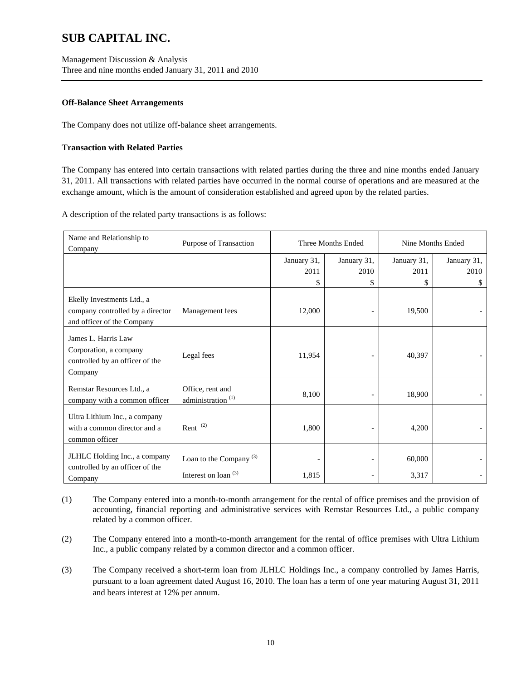## **Off-Balance Sheet Arrangements**

The Company does not utilize off-balance sheet arrangements.

## **Transaction with Related Parties**

The Company has entered into certain transactions with related parties during the three and nine months ended January 31, 2011. All transactions with related parties have occurred in the normal course of operations and are measured at the exchange amount, which is the amount of consideration established and agreed upon by the related parties.

A description of the related party transactions is as follows:

| Name and Relationship to<br>Company                                                          | Purpose of Transaction                              | Three Months Ended        |                           |                           | Nine Months Ended        |  |
|----------------------------------------------------------------------------------------------|-----------------------------------------------------|---------------------------|---------------------------|---------------------------|--------------------------|--|
|                                                                                              |                                                     | January 31,<br>2011<br>\$ | January 31,<br>2010<br>\$ | January 31,<br>2011<br>\$ | January 31,<br>2010<br>S |  |
| Ekelly Investments Ltd., a<br>company controlled by a director<br>and officer of the Company | Management fees                                     | 12,000                    |                           | 19,500                    |                          |  |
| James L. Harris Law<br>Corporation, a company<br>controlled by an officer of the<br>Company  | Legal fees                                          | 11,954                    |                           | 40,397                    |                          |  |
| Remstar Resources Ltd., a<br>company with a common officer                                   | Office, rent and<br>administration <sup>(1)</sup>   | 8,100                     |                           | 18,900                    |                          |  |
| Ultra Lithium Inc., a company<br>with a common director and a<br>common officer              | Rent $(2)$                                          | 1,800                     | $\overline{\phantom{a}}$  | 4,200                     |                          |  |
| JLHLC Holding Inc., a company<br>controlled by an officer of the<br>Company                  | Loan to the Company $(3)$<br>Interest on loan $(3)$ | 1,815                     | $\overline{\phantom{a}}$  | 60,000<br>3,317           |                          |  |

- (1) The Company entered into a month-to-month arrangement for the rental of office premises and the provision of accounting, financial reporting and administrative services with Remstar Resources Ltd., a public company related by a common officer.
- (2) The Company entered into a month-to-month arrangement for the rental of office premises with Ultra Lithium Inc., a public company related by a common director and a common officer.
- (3) The Company received a short-term loan from JLHLC Holdings Inc., a company controlled by James Harris, pursuant to a loan agreement dated August 16, 2010. The loan has a term of one year maturing August 31, 2011 and bears interest at 12% per annum.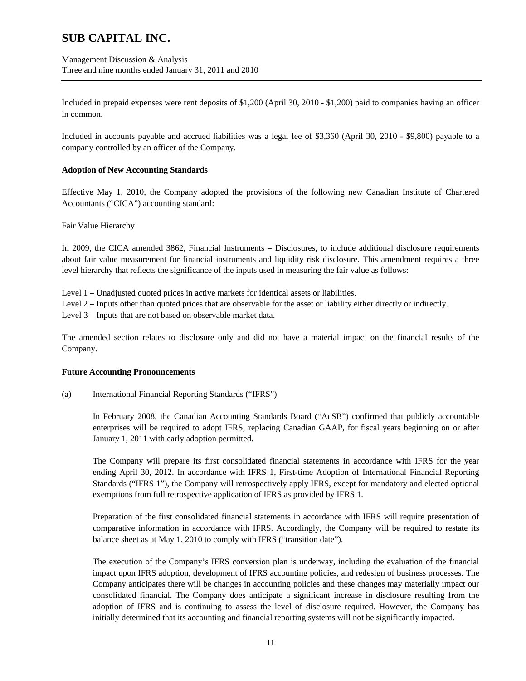Management Discussion & Analysis Three and nine months ended January 31, 2011 and 2010

Included in prepaid expenses were rent deposits of \$1,200 (April 30, 2010 - \$1,200) paid to companies having an officer in common.

Included in accounts payable and accrued liabilities was a legal fee of \$3,360 (April 30, 2010 - \$9,800) payable to a company controlled by an officer of the Company.

### **Adoption of New Accounting Standards**

Effective May 1, 2010, the Company adopted the provisions of the following new Canadian Institute of Chartered Accountants ("CICA") accounting standard:

#### Fair Value Hierarchy

In 2009, the CICA amended 3862, Financial Instruments – Disclosures, to include additional disclosure requirements about fair value measurement for financial instruments and liquidity risk disclosure. This amendment requires a three level hierarchy that reflects the significance of the inputs used in measuring the fair value as follows:

Level 1 – Unadjusted quoted prices in active markets for identical assets or liabilities.

Level 2 – Inputs other than quoted prices that are observable for the asset or liability either directly or indirectly.

Level 3 – Inputs that are not based on observable market data.

The amended section relates to disclosure only and did not have a material impact on the financial results of the Company.

#### **Future Accounting Pronouncements**

(a) International Financial Reporting Standards ("IFRS")

In February 2008, the Canadian Accounting Standards Board ("AcSB") confirmed that publicly accountable enterprises will be required to adopt IFRS, replacing Canadian GAAP, for fiscal years beginning on or after January 1, 2011 with early adoption permitted.

The Company will prepare its first consolidated financial statements in accordance with IFRS for the year ending April 30, 2012. In accordance with IFRS 1, First-time Adoption of International Financial Reporting Standards ("IFRS 1"), the Company will retrospectively apply IFRS, except for mandatory and elected optional exemptions from full retrospective application of IFRS as provided by IFRS 1.

Preparation of the first consolidated financial statements in accordance with IFRS will require presentation of comparative information in accordance with IFRS. Accordingly, the Company will be required to restate its balance sheet as at May 1, 2010 to comply with IFRS ("transition date").

The execution of the Company's IFRS conversion plan is underway, including the evaluation of the financial impact upon IFRS adoption, development of IFRS accounting policies, and redesign of business processes. The Company anticipates there will be changes in accounting policies and these changes may materially impact our consolidated financial. The Company does anticipate a significant increase in disclosure resulting from the adoption of IFRS and is continuing to assess the level of disclosure required. However, the Company has initially determined that its accounting and financial reporting systems will not be significantly impacted.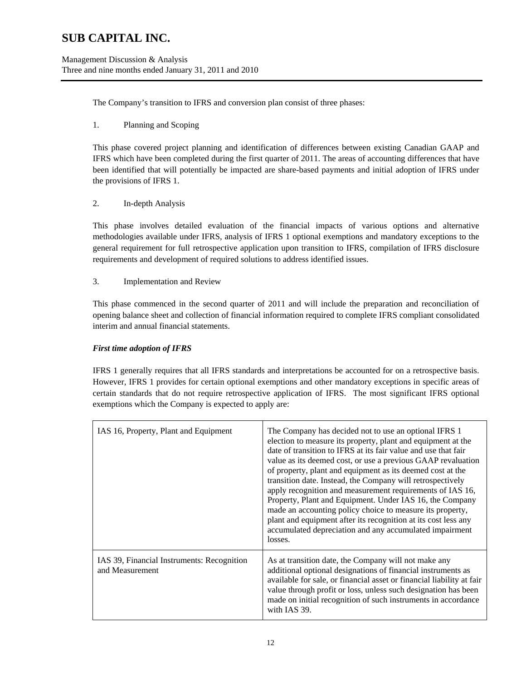The Company's transition to IFRS and conversion plan consist of three phases:

## 1. Planning and Scoping

This phase covered project planning and identification of differences between existing Canadian GAAP and IFRS which have been completed during the first quarter of 2011. The areas of accounting differences that have been identified that will potentially be impacted are share-based payments and initial adoption of IFRS under the provisions of IFRS 1.

## 2. In-depth Analysis

This phase involves detailed evaluation of the financial impacts of various options and alternative methodologies available under IFRS, analysis of IFRS 1 optional exemptions and mandatory exceptions to the general requirement for full retrospective application upon transition to IFRS, compilation of IFRS disclosure requirements and development of required solutions to address identified issues.

## 3. Implementation and Review

This phase commenced in the second quarter of 2011 and will include the preparation and reconciliation of opening balance sheet and collection of financial information required to complete IFRS compliant consolidated interim and annual financial statements.

## *First time adoption of IFRS*

IFRS 1 generally requires that all IFRS standards and interpretations be accounted for on a retrospective basis. However, IFRS 1 provides for certain optional exemptions and other mandatory exceptions in specific areas of certain standards that do not require retrospective application of IFRS. The most significant IFRS optional exemptions which the Company is expected to apply are:

| IAS 16, Property, Plant and Equipment                         | The Company has decided not to use an optional IFRS 1<br>election to measure its property, plant and equipment at the<br>date of transition to IFRS at its fair value and use that fair<br>value as its deemed cost, or use a previous GAAP revaluation<br>of property, plant and equipment as its deemed cost at the<br>transition date. Instead, the Company will retrospectively<br>apply recognition and measurement requirements of IAS 16,<br>Property, Plant and Equipment. Under IAS 16, the Company<br>made an accounting policy choice to measure its property,<br>plant and equipment after its recognition at its cost less any<br>accumulated depreciation and any accumulated impairment<br>losses. |
|---------------------------------------------------------------|-------------------------------------------------------------------------------------------------------------------------------------------------------------------------------------------------------------------------------------------------------------------------------------------------------------------------------------------------------------------------------------------------------------------------------------------------------------------------------------------------------------------------------------------------------------------------------------------------------------------------------------------------------------------------------------------------------------------|
| IAS 39, Financial Instruments: Recognition<br>and Measurement | As at transition date, the Company will not make any<br>additional optional designations of financial instruments as<br>available for sale, or financial asset or financial liability at fair<br>value through profit or loss, unless such designation has been<br>made on initial recognition of such instruments in accordance<br>with IAS 39.                                                                                                                                                                                                                                                                                                                                                                  |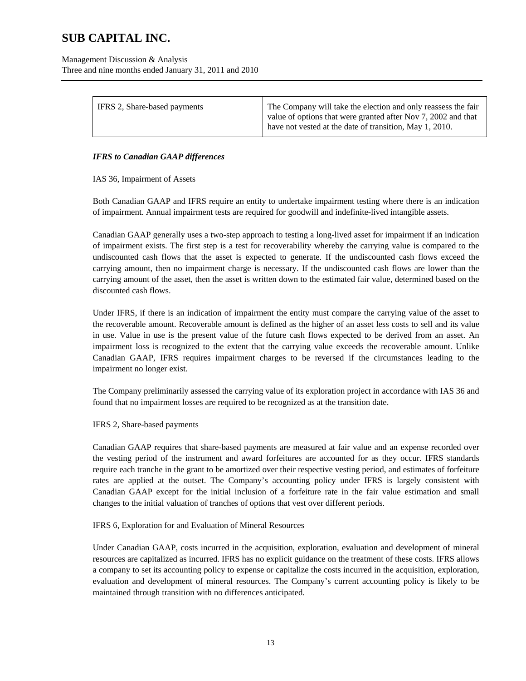| IFRS 2, Share-based payments | The Company will take the election and only reassess the fair<br>value of options that were granted after Nov 7, 2002 and that<br>have not vested at the date of transition, May 1, 2010. |
|------------------------------|-------------------------------------------------------------------------------------------------------------------------------------------------------------------------------------------|
|                              |                                                                                                                                                                                           |

## *IFRS to Canadian GAAP differences*

IAS 36, Impairment of Assets

Both Canadian GAAP and IFRS require an entity to undertake impairment testing where there is an indication of impairment. Annual impairment tests are required for goodwill and indefinite-lived intangible assets.

Canadian GAAP generally uses a two-step approach to testing a long-lived asset for impairment if an indication of impairment exists. The first step is a test for recoverability whereby the carrying value is compared to the undiscounted cash flows that the asset is expected to generate. If the undiscounted cash flows exceed the carrying amount, then no impairment charge is necessary. If the undiscounted cash flows are lower than the carrying amount of the asset, then the asset is written down to the estimated fair value, determined based on the discounted cash flows.

Under IFRS, if there is an indication of impairment the entity must compare the carrying value of the asset to the recoverable amount. Recoverable amount is defined as the higher of an asset less costs to sell and its value in use. Value in use is the present value of the future cash flows expected to be derived from an asset. An impairment loss is recognized to the extent that the carrying value exceeds the recoverable amount. Unlike Canadian GAAP, IFRS requires impairment charges to be reversed if the circumstances leading to the impairment no longer exist.

The Company preliminarily assessed the carrying value of its exploration project in accordance with IAS 36 and found that no impairment losses are required to be recognized as at the transition date.

### IFRS 2, Share-based payments

Canadian GAAP requires that share-based payments are measured at fair value and an expense recorded over the vesting period of the instrument and award forfeitures are accounted for as they occur. IFRS standards require each tranche in the grant to be amortized over their respective vesting period, and estimates of forfeiture rates are applied at the outset. The Company's accounting policy under IFRS is largely consistent with Canadian GAAP except for the initial inclusion of a forfeiture rate in the fair value estimation and small changes to the initial valuation of tranches of options that vest over different periods.

### IFRS 6, Exploration for and Evaluation of Mineral Resources

Under Canadian GAAP, costs incurred in the acquisition, exploration, evaluation and development of mineral resources are capitalized as incurred. IFRS has no explicit guidance on the treatment of these costs. IFRS allows a company to set its accounting policy to expense or capitalize the costs incurred in the acquisition, exploration, evaluation and development of mineral resources. The Company's current accounting policy is likely to be maintained through transition with no differences anticipated.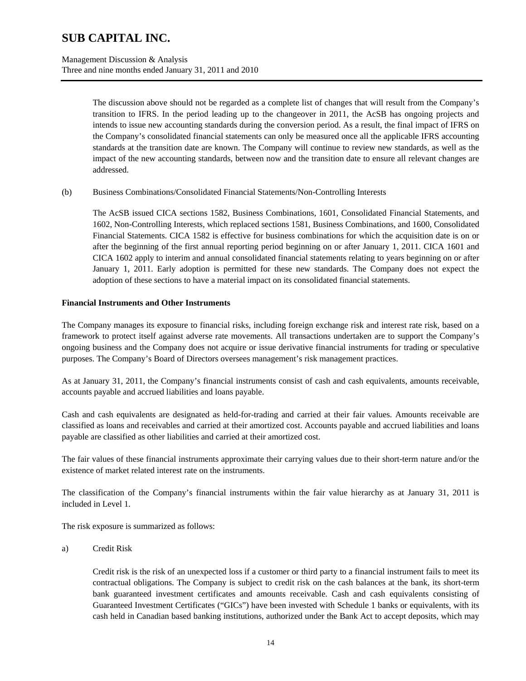The discussion above should not be regarded as a complete list of changes that will result from the Company's transition to IFRS. In the period leading up to the changeover in 2011, the AcSB has ongoing projects and intends to issue new accounting standards during the conversion period. As a result, the final impact of IFRS on the Company's consolidated financial statements can only be measured once all the applicable IFRS accounting standards at the transition date are known. The Company will continue to review new standards, as well as the impact of the new accounting standards, between now and the transition date to ensure all relevant changes are addressed.

(b) Business Combinations/Consolidated Financial Statements/Non-Controlling Interests

The AcSB issued CICA sections 1582, Business Combinations, 1601, Consolidated Financial Statements, and 1602, Non-Controlling Interests, which replaced sections 1581, Business Combinations, and 1600, Consolidated Financial Statements. CICA 1582 is effective for business combinations for which the acquisition date is on or after the beginning of the first annual reporting period beginning on or after January 1, 2011. CICA 1601 and CICA 1602 apply to interim and annual consolidated financial statements relating to years beginning on or after January 1, 2011. Early adoption is permitted for these new standards. The Company does not expect the adoption of these sections to have a material impact on its consolidated financial statements.

### **Financial Instruments and Other Instruments**

The Company manages its exposure to financial risks, including foreign exchange risk and interest rate risk, based on a framework to protect itself against adverse rate movements. All transactions undertaken are to support the Company's ongoing business and the Company does not acquire or issue derivative financial instruments for trading or speculative purposes. The Company's Board of Directors oversees management's risk management practices.

As at January 31, 2011, the Company's financial instruments consist of cash and cash equivalents, amounts receivable, accounts payable and accrued liabilities and loans payable.

Cash and cash equivalents are designated as held-for-trading and carried at their fair values. Amounts receivable are classified as loans and receivables and carried at their amortized cost. Accounts payable and accrued liabilities and loans payable are classified as other liabilities and carried at their amortized cost.

The fair values of these financial instruments approximate their carrying values due to their short-term nature and/or the existence of market related interest rate on the instruments.

The classification of the Company's financial instruments within the fair value hierarchy as at January 31, 2011 is included in Level 1.

The risk exposure is summarized as follows:

### a) Credit Risk

Credit risk is the risk of an unexpected loss if a customer or third party to a financial instrument fails to meet its contractual obligations. The Company is subject to credit risk on the cash balances at the bank, its short-term bank guaranteed investment certificates and amounts receivable. Cash and cash equivalents consisting of Guaranteed Investment Certificates ("GICs") have been invested with Schedule 1 banks or equivalents, with its cash held in Canadian based banking institutions, authorized under the Bank Act to accept deposits, which may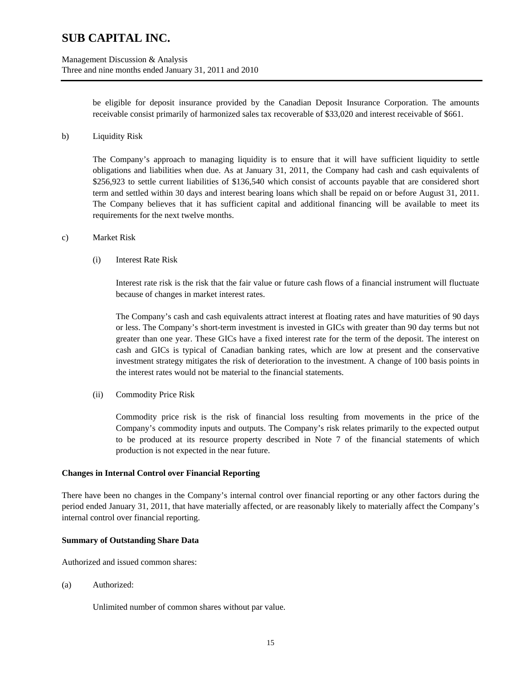be eligible for deposit insurance provided by the Canadian Deposit Insurance Corporation. The amounts receivable consist primarily of harmonized sales tax recoverable of \$33,020 and interest receivable of \$661.

b) Liquidity Risk

The Company's approach to managing liquidity is to ensure that it will have sufficient liquidity to settle obligations and liabilities when due. As at January 31, 2011, the Company had cash and cash equivalents of \$256,923 to settle current liabilities of \$136,540 which consist of accounts payable that are considered short term and settled within 30 days and interest bearing loans which shall be repaid on or before August 31, 2011. The Company believes that it has sufficient capital and additional financing will be available to meet its requirements for the next twelve months.

- c) Market Risk
	- (i) Interest Rate Risk

Interest rate risk is the risk that the fair value or future cash flows of a financial instrument will fluctuate because of changes in market interest rates.

The Company's cash and cash equivalents attract interest at floating rates and have maturities of 90 days or less. The Company's short-term investment is invested in GICs with greater than 90 day terms but not greater than one year. These GICs have a fixed interest rate for the term of the deposit. The interest on cash and GICs is typical of Canadian banking rates, which are low at present and the conservative investment strategy mitigates the risk of deterioration to the investment. A change of 100 basis points in the interest rates would not be material to the financial statements.

(ii) Commodity Price Risk

Commodity price risk is the risk of financial loss resulting from movements in the price of the Company's commodity inputs and outputs. The Company's risk relates primarily to the expected output to be produced at its resource property described in Note 7 of the financial statements of which production is not expected in the near future.

#### **Changes in Internal Control over Financial Reporting**

There have been no changes in the Company's internal control over financial reporting or any other factors during the period ended January 31, 2011, that have materially affected, or are reasonably likely to materially affect the Company's internal control over financial reporting.

#### **Summary of Outstanding Share Data**

Authorized and issued common shares:

(a) Authorized:

Unlimited number of common shares without par value.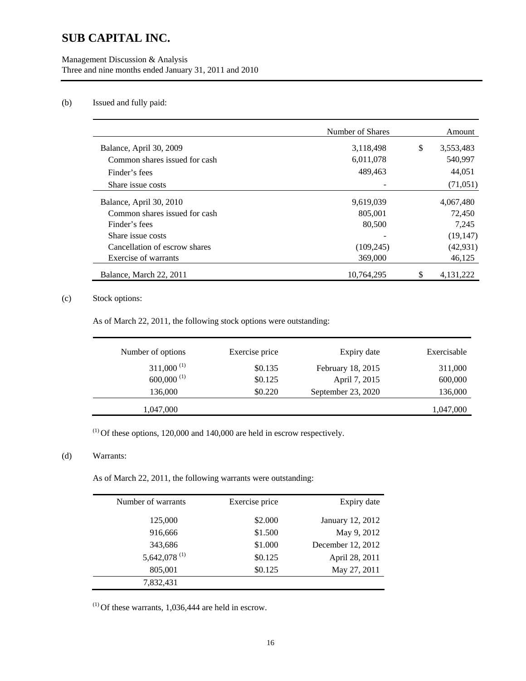## Management Discussion & Analysis Three and nine months ended January 31, 2011 and 2010

## (b) Issued and fully paid:

|                               | Number of Shares | Amount          |
|-------------------------------|------------------|-----------------|
| Balance, April 30, 2009       | 3,118,498        | \$<br>3,553,483 |
| Common shares issued for cash | 6,011,078        | 540,997         |
| Finder's fees                 | 489,463          | 44.051          |
| Share issue costs             |                  | (71,051)        |
| Balance, April 30, 2010       | 9,619,039        | 4,067,480       |
| Common shares issued for cash | 805,001          | 72,450          |
| Finder's fees                 | 80,500           | 7.245           |
| Share issue costs             |                  | (19, 147)       |
| Cancellation of escrow shares | (109, 245)       | (42, 931)       |
| Exercise of warrants          | 369,000          | 46,125          |
| Balance, March 22, 2011       | 10,764,295       | 4, 131, 222     |

## (c) Stock options:

As of March 22, 2011, the following stock options were outstanding:

| Number of options        | Exercise price | Expiry date        | Exercisable |
|--------------------------|----------------|--------------------|-------------|
| $311,000^{(1)}$          | \$0.135        | February 18, 2015  | 311,000     |
| $600,000$ <sup>(1)</sup> | \$0.125        | April 7, 2015      | 600,000     |
| 136,000                  | \$0.220        | September 23, 2020 | 136,000     |
| 1,047,000                |                |                    | 1,047,000   |

 $(1)$  Of these options, 120,000 and 140,000 are held in escrow respectively.

## (d) Warrants:

 $\overline{\phantom{0}}$ 

As of March 22, 2011, the following warrants were outstanding:

| Number of warrants       | Exercise price | Expiry date       |
|--------------------------|----------------|-------------------|
| 125,000                  | \$2.000        | January 12, 2012  |
| 916,666                  | \$1.500        | May 9, 2012       |
| 343,686                  | \$1.000        | December 12, 2012 |
| 5,642,078 <sup>(1)</sup> | \$0.125        | April 28, 2011    |
| 805,001                  | \$0.125        | May 27, 2011      |
| 7,832,431                |                |                   |

 $(1)$  Of these warrants, 1,036,444 are held in escrow.